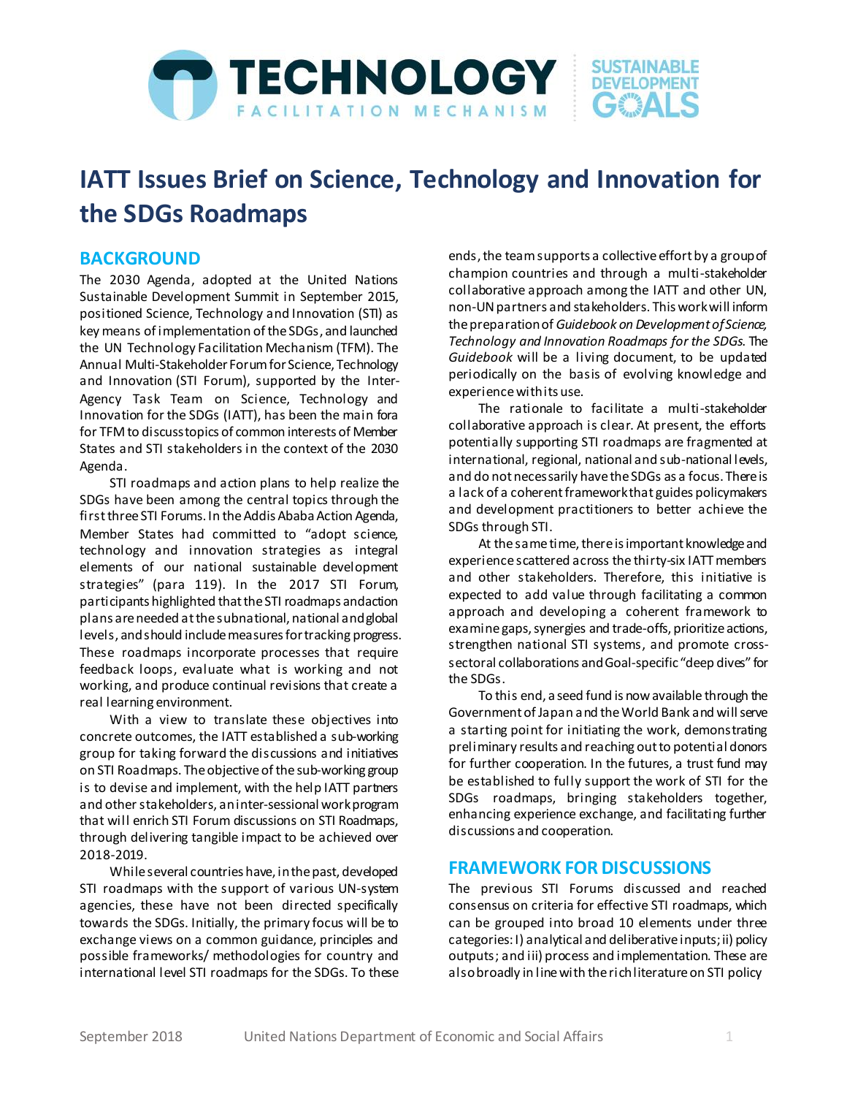

# **IATT Issues Brief on Science, Technology and Innovation for the SDGs Roadmaps**

### **BACKGROUND**

The 2030 Agenda, adopted at the United Nations Sustainable Development Summit in September 2015, positioned Science, Technology and Innovation (STI) as key means of implementation of the SDGs, and launched the UN Technology Facilitation Mechanism (TFM). The Annual Multi-Stakeholder Forum for Science, Technology and Innovation (STI Forum), supported by the Inter-Agency Task Team on Science, Technology and Innovation for the SDGs (IATT), has been the main fora for TFM to discuss topics of common interests of Member States and STI stakeholders in the context of the 2030 Agenda.

STI roadmaps and action plans to help realize the SDGs have been among the central topics through the first threeSTI Forums. In the Addis Ababa Action Agenda, Member States had committed to "adopt science, technology and innovation strategies as integral elements of our national sustainable development strategies" (para 119). In the 2017 STI Forum, participants highlighted that the STI roadmaps and action plans are needed at the subnational, national and global levels, and should include measures for tracking progress. These roadmaps incorporate processes that require feedback loops, evaluate what is working and not working, and produce continual revisions that create a real learning environment.

With a view to translate these objectives into concrete outcomes, the IATT established a sub-working group for taking forward the discussions and initiatives on STI Roadmaps. The objective of the sub-working group is to devise and implement, with the help IATT partners and other stakeholders, an inter-sessional work program that will enrich STI Forum discussions on STI Roadmaps, through delivering tangible impact to be achieved over 2018-2019.

While several countries have, in the past, developed STI roadmaps with the support of various UN-system agencies, these have not been directed specifically towards the SDGs. Initially, the primary focus will be to exchange views on a common guidance, principles and possible frameworks/ methodologies for country and international level STI roadmaps for the SDGs. To these ends, the team supports a collective effort by a group of champion countries and through a multi-stakeholder collaborative approach among the IATT and other UN, non-UN partners and stakeholders. This workwill inform the preparation of *Guidebook on Development of Science, Technology and Innovation Roadmaps for the SDGs*. The *Guidebook* will be a living document, to be updated periodically on the basis of evolving knowledge and experience with its use.

The rationale to facilitate a multi-stakeholder collaborative approach is clear. At present, the efforts potentially supporting STI roadmaps are fragmented at international, regional, national and sub-national levels, and do not necessarily have the SDGs as a focus. There is a lack of a coherent framework that guides policymakers and development practitioners to better achieve the SDGs through STI.

At the same time, thereis important knowledge and experience scattered across the thirty-six IATT members and other stakeholders. Therefore, this initiative is expected to add value through facilitating a common approach and developing a coherent framework to examine gaps, synergies and trade-offs, prioritize actions, strengthen national STI systems, and promote crosssectoral collaborations and Goal-specific "deep dives" for the SDGs.

To this end, a seed fund is now available through the Government of Japan and the World Bank and will serve a starting point for initiating the work, demonstrating preliminary results and reaching out to potential donors for further cooperation. In the futures, a trust fund may be established to fully support the work of STI for the SDGs roadmaps, bringing stakeholders together, enhancing experience exchange, and facilitating further discussions and cooperation.

### **FRAMEWORK FOR DISCUSSIONS**

The previous STI Forums discussed and reached consensus on criteria for effective STI roadmaps, which can be grouped into broad 10 elements under three categories: I) analytical and deliberative inputs; ii) policy outputs; and iii) process and implementation. These are also broadly in line with the rich literature on STI policy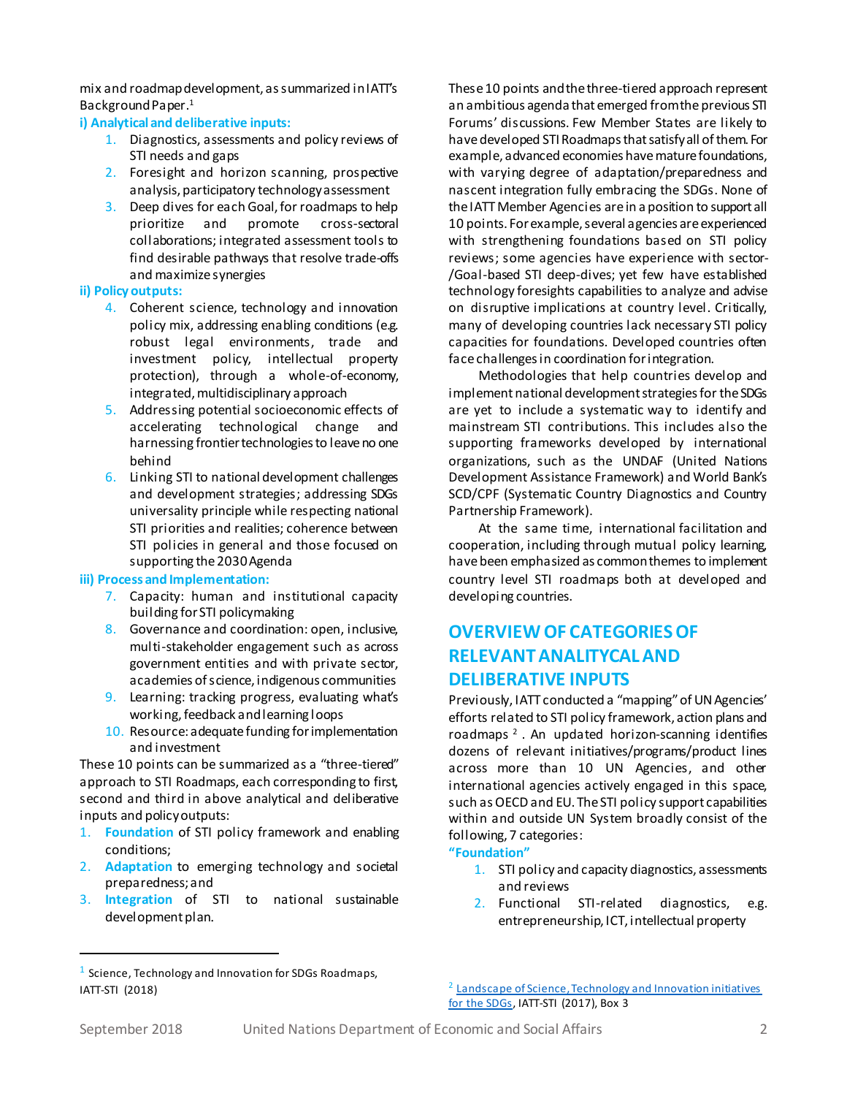mix and roadmap development, as summarized in IATT's Background Paper.<sup>1</sup>

### **i) Analytical and deliberative inputs:**

- 1. Diagnostics, assessments and policy reviews of STI needs and gaps
- 2. Foresight and horizon scanning, prospective analysis, participatory technology assessment
- 3. Deep dives for each Goal, for roadmaps to help<br>prioritize and promote cross-sectoral prioritize and promote cross-sectoral collaborations; integrated assessment tools to find desirable pathways that resolve trade-offs and maximize synergies

### **ii) Policy outputs:**

- 4. Coherent science, technology and innovation policy mix, addressing enabling conditions (e.g. robust legal environments, trade and investment policy, intellectual property protection), through a whole-of-economy, integrated, multidisciplinary approach
- 5. Addressing potential socioeconomic effects of accelerating technological change and harnessing frontier technologies to leave no one behind
- 6. Linking STI to national development challenges and development strategies; addressing SDGs universality principle while respecting national STI priorities and realities; coherence between STI policies in general and those focused on supporting the 2030 Agenda

#### **iii) Process and Implementation:**

- 7. Capacity: human and institutional capacity building for STI policymaking
- 8. Governance and coordination: open, inclusive, multi-stakeholder engagement such as across government entities and with private sector, academies of science, indigenous communities
- 9. Learning: tracking progress, evaluating what's working, feedback and learning loops
- 10. Resource: adequate funding for implementation and investment

These 10 points can be summarized as a "three-tiered" approach to STI Roadmaps, each corresponding to first, second and third in above analytical and deliberative inputs and policy outputs:

- 1. **Foundation** of STI policy framework and enabling conditions;
- 2. **Adaptation** to emerging technology and societal preparedness; and
- 3. **Integration** of STI to national sustainable development plan.

These 10 points and the three-tiered approach represent an ambitious agenda that emerged from the previous STI Forums' discussions. Few Member States are likely to have developed STI Roadmaps that satisfy all of them. For example, advanced economies have mature foundations, with varying degree of adaptation/preparedness and nascent integration fully embracing the SDGs. None of the IATT Member Agencies are in a position to support all 10 points. For example, several agencies are experienced with strengthening foundations based on STI policy reviews; some agencies have experience with sector- /Goal-based STI deep-dives; yet few have established technology foresights capabilities to analyze and advise on disruptive implications at country level. Critically, many of developing countries lack necessary STI policy capacities for foundations. Developed countries often face challenges in coordination for integration.

Methodologies that help countries develop and implement national development strategies for the SDGs are yet to include a systematic way to identify and mainstream STI contributions. This includes also the supporting frameworks developed by international organizations, such as the UNDAF (United Nations Development Assistance Framework) and World Bank's SCD/CPF (Systematic Country Diagnostics and Country Partnership Framework).

At the same time, international facilitation and cooperation, including through mutual policy learning, have been emphasized as common themes to implement country level STI roadmaps both at developed and developing countries.

# **OVERVIEW OF CATEGORIES OF RELEVANTANALITYCAL AND DELIBERATIVE INPUTS**

Previously, IATT conducted a "mapping" of UN Agencies' efforts related to STI policy framework, action plans and roadmaps<sup>2</sup>. An updated horizon-scanning identifies dozens of relevant initiatives/programs/product lines across more than 10 UN Agencies, and other international agencies actively engaged in this space, such as OECD and EU. The STI policy support capabilities within and outside UN System broadly consist of the following, 7 categories:

### **"Foundation"**

- 1. STI policy and capacity diagnostics, assessments and reviews
- 2. Functional STI-related diagnostics, e.g. entrepreneurship, ICT, intellectual property

<sup>2</sup> Landscape of Science, Technology and Innovation initiatives [for the SDGs,](https://sustainabledevelopment.un.org/content/documents/147462017.05.05_IATT-STI-Mapping.pdf) IATT-STI (2017), Box 3

1

<sup>&</sup>lt;sup>1</sup> Science, Technology and Innovation for SDGs Roadmaps, IATT-STI (2018)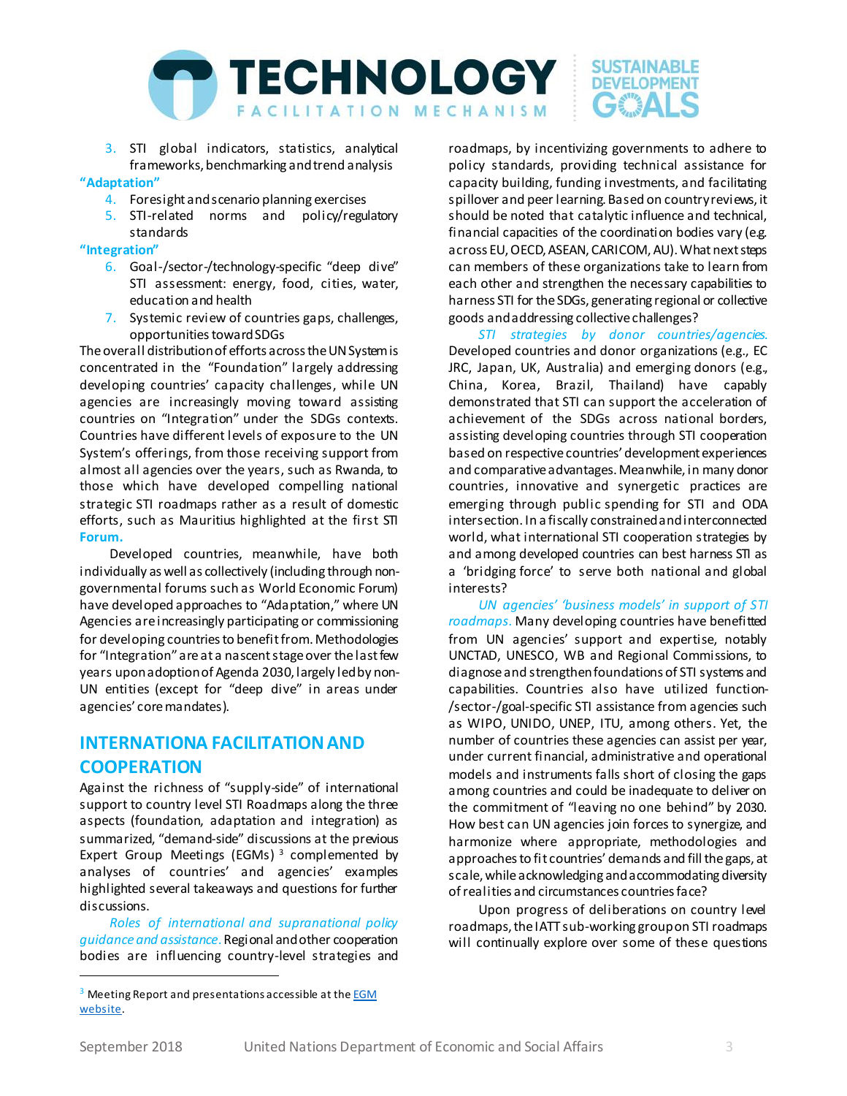

3. STI global indicators, statistics, analytical frameworks, benchmarking and trend analysis

#### **"Adaptation"**

- 4. Foresight and scenario planning exercises
- 5. STI-related norms and policy/regulatory standards

### **"Integration"**

- 6. Goal-/sector-/technology-specific "deep dive" STI assessment: energy, food, cities, water, education and health
- 7. Systemic review of countries gaps, challenges, opportunities toward SDGs

The overall distribution of efforts across the UN System is concentrated in the "Foundation" largely addressing developing countries' capacity challenges, while UN agencies are increasingly moving toward assisting countries on "Integration" under the SDGs contexts. Countries have different levels of exposure to the UN System's offerings, from those receiving support from almost all agencies over the years, such as Rwanda, to those which have developed compelling national strategic STI roadmaps rather as a result of domestic efforts, such as Mauritius highlighted at the first STI **Forum.**

Developed countries, meanwhile, have both individually as well as collectively (including through nongovernmental forums such as World Economic Forum) have developed approaches to "Adaptation," where UN Agencies are increasingly participating or commissioning for developing countries to benefit from. Methodologies for "Integration" are at a nascent stage over the last few years upon adoption of Agenda 2030, largely led by non-UN entities (except for "deep dive" in areas under agencies' core mandates).

# **INTERNATIONA FACILITATIONAND COOPERATION**

Against the richness of "supply-side" of international support to country level STI Roadmaps along the three aspects (foundation, adaptation and integration) as summarized, "demand-side" discussions at the previous Expert Group Meetings (EGMs) <sup>3</sup> complemented by analyses of countries' and agencies' examples highlighted several takeaways and questions for further discussions.

*Roles of international and supranational policy guidance and assistance*. Regional and other cooperation bodies are influencing country-level strategies and

*STI strategies by donor countries/agencies*. Developed countries and donor organizations (e.g., EC JRC, Japan, UK, Australia) and emerging donors (e.g., China, Korea, Brazil, Thailand) have capably demonstrated that STI can support the acceleration of achievement of the SDGs across national borders, assisting developing countries through STI cooperation based on respective countries' development experiences and comparative advantages. Meanwhile, in many donor countries, innovative and synergetic practices are emerging through public spending for STI and ODA intersection. In a fiscally constrained and interconnected world, what international STI cooperation strategies by and among developed countries can best harness STI as a 'bridging force' to serve both national and global interests?

*UN agencies' 'business models' in support of STI roadmaps*. Many developing countries have benefitted from UN agencies' support and expertise, notably UNCTAD, UNESCO, WB and Regional Commissions, to diagnose and strengthen foundations of STI systems and capabilities. Countries also have utilized function- /sector-/goal-specific STI assistance from agencies such as WIPO, UNIDO, UNEP, ITU, among others. Yet, the number of countries these agencies can assist per year, under current financial, administrative and operational models and instruments falls short of closing the gaps among countries and could be inadequate to deliver on the commitment of "leaving no one behind" by 2030. How best can UN agencies join forces to synergize, and harmonize where appropriate, methodologies and approaches to fit countries' demands and fill the gaps, at scale, while acknowledging and accommodating diversity of realities and circumstances countries face?

Upon progress of deliberations on country level roadmaps, the IATT sub-working group on STI roadmaps will continually explore over some of these questions

1

roadmaps, by incentivizing governments to adhere to policy standards, providing technical assistance for capacity building, funding investments, and facilitating spillover and peer learning. Based on country reviews, it should be noted that catalytic influence and technical, financial capacities of the coordination bodies vary (e.g. across EU, OECD, ASEAN, CARICOM, AU). What next steps can members of these organizations take to learn from each other and strengthen the necessary capabilities to harness STI for the SDGs, generating regional or collective goods and addressing collective challenges?

<sup>&</sup>lt;sup>3</sup> Meeting Report and presentations accessible at the **EGM** [website.](https://www.jst.go.jp/sdgs/en/activities/20180508.html)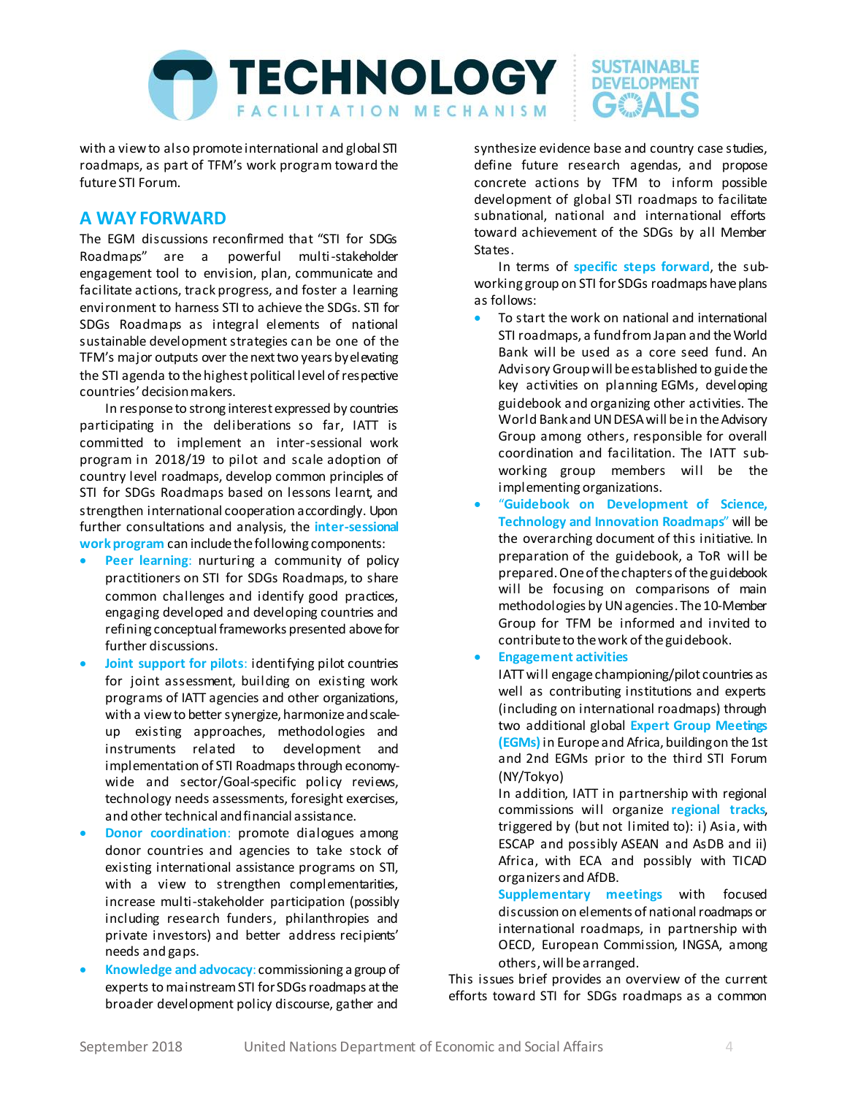

with a view to also promote international and global STI roadmaps, as part of TFM's work program toward the future STI Forum.

## **A WAY FORWARD**

The EGM discussions reconfirmed that "STI for SDGs Roadmaps" are a powerful multi-stakeholder engagement tool to envision, plan, communicate and facilitate actions, track progress, and foster a learning environment to harness STI to achieve the SDGs. STI for SDGs Roadmaps as integral elements of national sustainable development strategies can be one of the TFM's major outputs over the next two years by elevating the STI agenda to the highest political level of respective countries' decision makers.

In response to strong interest expressed by countries participating in the deliberations so far, IATT is committed to implement an inter-sessional work program in 2018/19 to pilot and scale adoption of country level roadmaps, develop common principles of STI for SDGs Roadmaps based on lessons learnt, and strengthen international cooperation accordingly. Upon further consultations and analysis, the **inter-sessional work program** can include the following components:

- **Peer learning**: nurturing a community of policy practitioners on STI for SDGs Roadmaps, to share common challenges and identify good practices, engaging developed and developing countries and refining conceptual frameworks presented above for further discussions.
- **Joint support for pilots**: identifying pilot countries for joint assessment, building on existing work programs of IATT agencies and other organizations, with a view to better synergize, harmonize and scaleup existing approaches, methodologies and instruments related to development and implementation of STI Roadmaps through economywide and sector/Goal-specific policy reviews, technology needs assessments, foresight exercises, and other technical and financial assistance.
- **Donor coordination**: promote dialogues among donor countries and agencies to take stock of existing international assistance programs on STI, with a view to strengthen complementarities, increase multi-stakeholder participation (possibly including research funders, philanthropies and private investors) and better address recipients' needs and gaps.
- **Knowledge and advocacy**: commissioning a group of experts to mainstream STI for SDGs roadmaps at the broader development policy discourse, gather and

synthesize evidence base and country case studies, define future research agendas, and propose concrete actions by TFM to inform possible development of global STI roadmaps to facilitate subnational, national and international efforts toward achievement of the SDGs by all Member States.

In terms of **specific steps forward**, the subworking group on STI for SDGs roadmaps have plans as follows:

- To start the work on national and international STI roadmaps, a fund from Japan and the World Bank will be used as a core seed fund. An Advisory Groupwill be established to guide the key activities on planning EGMs, developing guidebook and organizing other activities. The World Bank and UN DESA will be in the Advisory Group among others, responsible for overall coordination and facilitation. The IATT subworking group members will be the implementing organizations.
- "**Guidebook on Development of Science, Technology and Innovation Roadmaps**" will be the overarching document of this initiative. In preparation of the guidebook, a ToR will be prepared.One of the chapters of the guidebook will be focusing on comparisons of main methodologies by UN agencies. The 10-Member Group for TFM be informed and invited to contribute to the work of the guidebook.
- **Engagement activities**

IATT will engage championing/pilot countries as well as contributing institutions and experts (including on international roadmaps) through two additional global **Expert Group Meetings (EGMs)**in Europe and Africa, building on the 1st and 2nd EGMs prior to the third STI Forum (NY/Tokyo)

In addition, IATT in partnership with regional commissions will organize **regional tracks**, triggered by (but not limited to): i) Asia, with ESCAP and possibly ASEAN and AsDB and ii) Africa, with ECA and possibly with TICAD organizers and AfDB.

**Supplementary meetings** with focused discussion on elements of national roadmaps or international roadmaps, in partnership with OECD, European Commission, INGSA, among others,will be arranged.

This issues brief provides an overview of the current efforts toward STI for SDGs roadmaps as a common